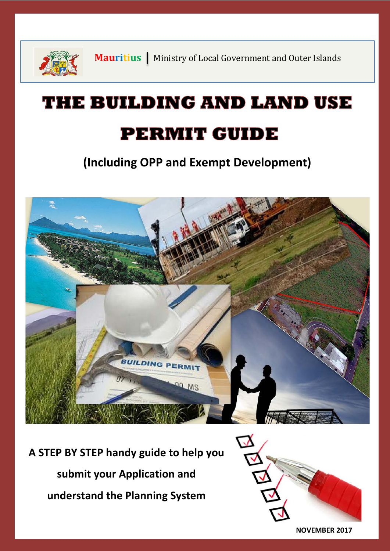

**Mauritius** | Ministry of Local Government and Outer Islands

# THE BUILDING AND LAND USE **PERMIT GUIDE**

**(Including OPP and Exempt Development)**



**A STEP BY STEP handy guide to help you submit your Application and understand the Planning System**



**NOVEMBER 2017**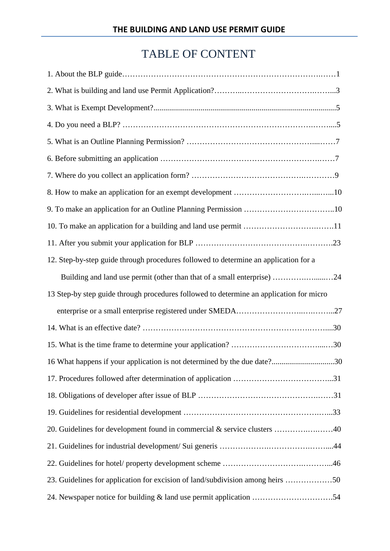# TABLE OF CONTENT

| 12. Step-by-step guide through procedures followed to determine an application for a    |
|-----------------------------------------------------------------------------------------|
| Building and land use permit (other than that of a small enterprise) 24                 |
| 13 Step-by step guide through procedures followed to determine an application for micro |
|                                                                                         |
|                                                                                         |
|                                                                                         |
|                                                                                         |
| 16 What happens if your application is not determined by the due date?30                |
|                                                                                         |
|                                                                                         |
|                                                                                         |
| 20. Guidelines for development found in commercial & service clusters 40                |
|                                                                                         |
|                                                                                         |
| 23. Guidelines for application for excision of land/subdivision among heirs 50          |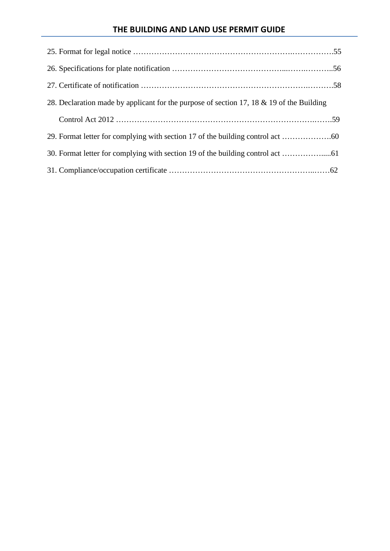### **THE BUILDING AND LAND USE PERMIT GUIDE**

| 28. Declaration made by applicant for the purpose of section 17, 18 & 19 of the Building |  |
|------------------------------------------------------------------------------------------|--|
|                                                                                          |  |
|                                                                                          |  |
|                                                                                          |  |
|                                                                                          |  |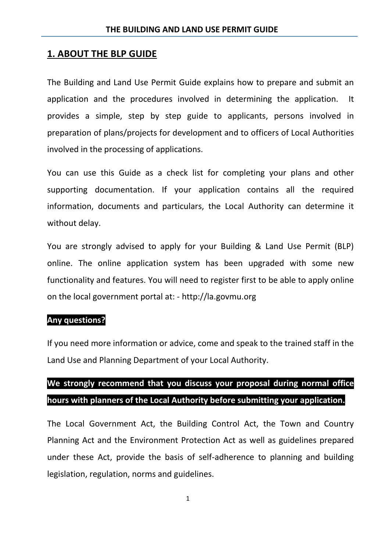#### **1. ABOUT THE BLP GUIDE**

The Building and Land Use Permit Guide explains how to prepare and submit an application and the procedures involved in determining the application. It provides a simple, step by step guide to applicants, persons involved in preparation of plans/projects for development and to officers of Local Authorities involved in the processing of applications.

You can use this Guide as a check list for completing your plans and other supporting documentation. If your application contains all the required information, documents and particulars, the Local Authority can determine it without delay.

You are strongly advised to apply for your Building & Land Use Permit (BLP) online. The online application system has been upgraded with some new functionality and features. You will need to register first to be able to apply online on the local government portal at: - http://la.govmu.org

#### **Any questions?**

If you need more information or advice, come and speak to the trained staff in the Land Use and Planning Department of your Local Authority.

# **We strongly recommend that you discuss your proposal during normal office hours with planners of the Local Authority before submitting your application.**

The Local Government Act, the Building Control Act, the Town and Country Planning Act and the Environment Protection Act as well as guidelines prepared under these Act, provide the basis of self-adherence to planning and building legislation, regulation, norms and guidelines.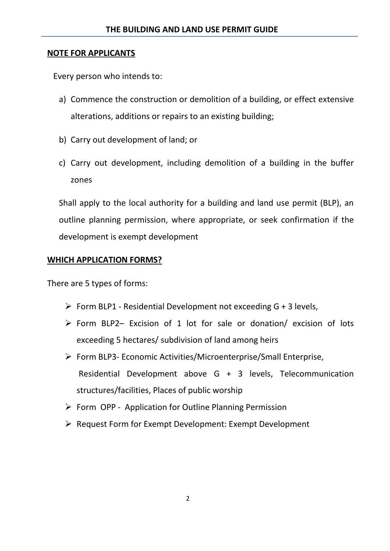#### **NOTE FOR APPLICANTS**

Every person who intends to:

- a) Commence the construction or demolition of a building, or effect extensive alterations, additions or repairs to an existing building;
- b) Carry out development of land; or
- c) Carry out development, including demolition of a building in the buffer zones

Shall apply to the local authority for a building and land use permit (BLP), an outline planning permission, where appropriate, or seek confirmation if the development is exempt development

### **WHICH APPLICATION FORMS?**

There are 5 types of forms:

- $\triangleright$  Form BLP1 Residential Development not exceeding G + 3 levels,
- $\triangleright$  Form BLP2– Excision of 1 lot for sale or donation/ excision of lots exceeding 5 hectares/ subdivision of land among heirs
- Form BLP3- Economic Activities/Microenterprise/Small Enterprise, Residential Development above G + 3 levels, Telecommunication structures/facilities, Places of public worship
- Form OPP Application for Outline Planning Permission
- ▶ Request Form for Exempt Development: Exempt Development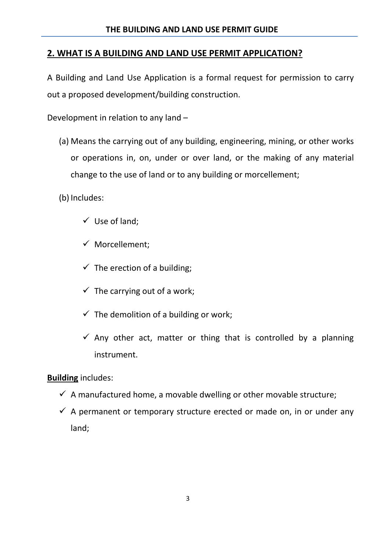### **2. WHAT IS A BUILDING AND LAND USE PERMIT APPLICATION?**

A Building and Land Use Application is a formal request for permission to carry out a proposed development/building construction.

Development in relation to any land –

(a) Means the carrying out of any building, engineering, mining, or other works or operations in, on, under or over land, or the making of any material change to the use of land or to any building or morcellement;

(b) Includes:

- $\checkmark$  Use of land;
- $\checkmark$  Morcellement:
- $\checkmark$  The erection of a building;
- $\checkmark$  The carrying out of a work;
- $\checkmark$  The demolition of a building or work;
- $\checkmark$  Any other act, matter or thing that is controlled by a planning instrument.

### **Building** includes:

- $\checkmark$  A manufactured home, a movable dwelling or other movable structure;
- $\checkmark$  A permanent or temporary structure erected or made on, in or under any land;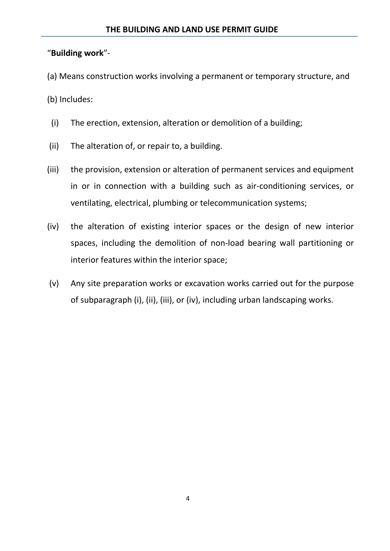### "**Building work**"-

(a) Means construction works involving a permanent or temporary structure, and

(b) Includes:

- (i) The erection, extension, alteration or demolition of a building;
- (ii) The alteration of, or repair to, a building.
- (iii) the provision, extension or alteration of permanent services and equipment in or in connection with a building such as air-conditioning services, or ventilating, electrical, plumbing or telecommunication systems;
- (iv) the alteration of existing interior spaces or the design of new interior spaces, including the demolition of non-load bearing wall partitioning or interior features within the interior space;
- (v) Any site preparation works or excavation works carried out for the purpose of subparagraph (i), (ii), (iii), or (iv), including urban landscaping works.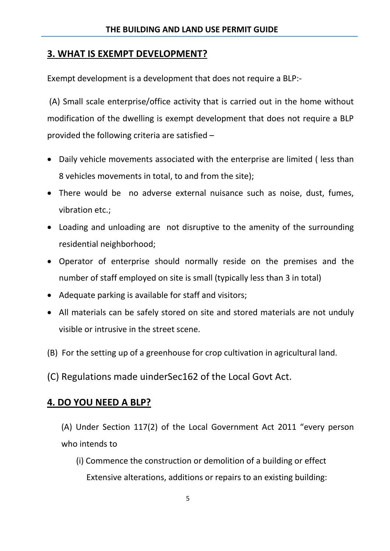### **3. WHAT IS EXEMPT DEVELOPMENT?**

Exempt development is a development that does not require a BLP:-

(A) Small scale enterprise/office activity that is carried out in the home without modification of the dwelling is exempt development that does not require a BLP provided the following criteria are satisfied –

- Daily vehicle movements associated with the enterprise are limited ( less than 8 vehicles movements in total, to and from the site);
- There would be no adverse external nuisance such as noise, dust, fumes, vibration etc.;
- Loading and unloading are not disruptive to the amenity of the surrounding residential neighborhood;
- Operator of enterprise should normally reside on the premises and the number of staff employed on site is small (typically less than 3 in total)
- Adequate parking is available for staff and visitors;
- All materials can be safely stored on site and stored materials are not unduly visible or intrusive in the street scene.
- (B) For the setting up of a greenhouse for crop cultivation in agricultural land.
- (C) Regulations made uinderSec162 of the Local Govt Act.

### **4. DO YOU NEED A BLP?**

- (A) Under Section 117(2) of the Local Government Act 2011 "every person who intends to
	- (i) Commence the construction or demolition of a building or effect Extensive alterations, additions or repairs to an existing building: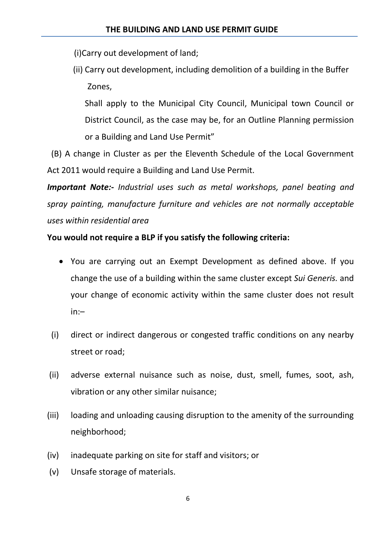- (i)Carry out development of land;
- (ii) Carry out development, including demolition of a building in the Buffer Zones,

Shall apply to the Municipal City Council, Municipal town Council or District Council, as the case may be, for an Outline Planning permission or a Building and Land Use Permit"

 (B) A change in Cluster as per the Eleventh Schedule of the Local Government Act 2011 would require a Building and Land Use Permit.

*Important Note:- Industrial uses such as metal workshops, panel beating and spray painting, manufacture furniture and vehicles are not normally acceptable uses within residential area* 

### **You would not require a BLP if you satisfy the following criteria:**

- You are carrying out an Exempt Development as defined above. If you change the use of a building within the same cluster except *Sui Generis.* and your change of economic activity within the same cluster does not result in:–
- (i) direct or indirect dangerous or congested traffic conditions on any nearby street or road;
- (ii) adverse external nuisance such as noise, dust, smell, fumes, soot, ash, vibration or any other similar nuisance;
- (iii) loading and unloading causing disruption to the amenity of the surrounding neighborhood;
- (iv) inadequate parking on site for staff and visitors; or
- (v) Unsafe storage of materials.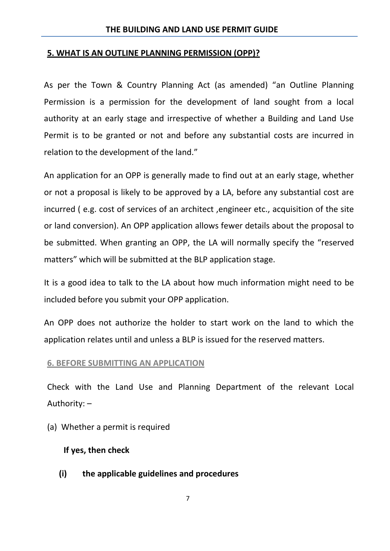#### **5. WHAT IS AN OUTLINE PLANNING PERMISSION (OPP)?**

As per the Town & Country Planning Act (as amended) "an Outline Planning Permission is a permission for the development of land sought from a local authority at an early stage and irrespective of whether a Building and Land Use Permit is to be granted or not and before any substantial costs are incurred in relation to the development of the land."

An application for an OPP is generally made to find out at an early stage, whether or not a proposal is likely to be approved by a LA, before any substantial cost are incurred ( e.g. cost of services of an architect ,engineer etc., acquisition of the site or land conversion). An OPP application allows fewer details about the proposal to be submitted. When granting an OPP, the LA will normally specify the "reserved matters" which will be submitted at the BLP application stage.

It is a good idea to talk to the LA about how much information might need to be included before you submit your OPP application.

An OPP does not authorize the holder to start work on the land to which the application relates until and unless a BLP is issued for the reserved matters.

#### **6. BEFORE SUBMITTING AN APPLICATION**

Check with the Land Use and Planning Department of the relevant Local Authority: –

(a) Whether a permit is required

#### **If yes, then check**

**(i) the applicable guidelines and procedures**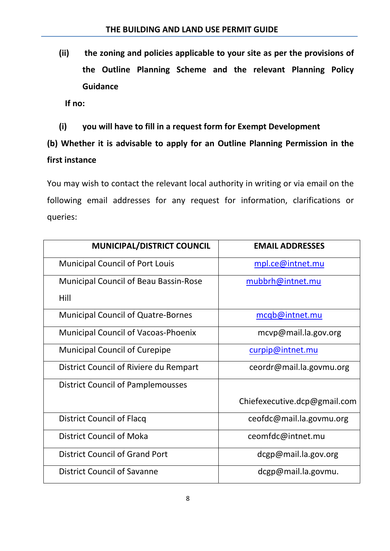**(ii) the zoning and policies applicable to your site as per the provisions of the Outline Planning Scheme and the relevant Planning Policy Guidance**

 **If no:**

**(i) you will have to fill in a request form for Exempt Development**

# **(b) Whether it is advisable to apply for an Outline Planning Permission in the first instance**

You may wish to contact the relevant local authority in writing or via email on the following email addresses for any request for information, clarifications or queries:

| <b>MUNICIPAL/DISTRICT COUNCIL</b>            | <b>EMAIL ADDRESSES</b>       |
|----------------------------------------------|------------------------------|
| <b>Municipal Council of Port Louis</b>       | mpl.ce@intnet.mu             |
| <b>Municipal Council of Beau Bassin-Rose</b> | mubbrh@intnet.mu             |
| Hill                                         |                              |
| <b>Municipal Council of Quatre-Bornes</b>    | mcqb@intnet.mu               |
| <b>Municipal Council of Vacoas-Phoenix</b>   | mcvp@mail.la.gov.org         |
| <b>Municipal Council of Curepipe</b>         | curpip@intnet.mu             |
| District Council of Riviere du Rempart       | ceordr@mail.la.govmu.org     |
| <b>District Council of Pamplemousses</b>     |                              |
|                                              | Chiefexecutive.dcp@gmail.com |
| District Council of Flacq                    | ceofdc@mail.la.govmu.org     |
| <b>District Council of Moka</b>              | ceomfdc@intnet.mu            |
| <b>District Council of Grand Port</b>        | dcgp@mail.la.gov.org         |
| <b>District Council of Savanne</b>           | dcgp@mail.la.govmu.          |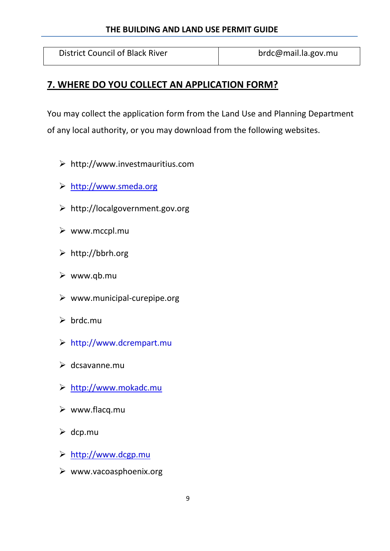### **THE BUILDING AND LAND USE PERMIT GUIDE**

District Council of Black River **broken broken broken broken and have broken and have broken and have broken** 

### **7. WHERE DO YOU COLLECT AN APPLICATION FORM?**

You may collect the application form from the Land Use and Planning Department of any local authority, or you may download from the following websites.

- http://www.investmauritius.com
- [http://www.smeda.org](http://www.smeda.org/)
- http://localgovernment.gov.org
- $\triangleright$  www.mccpl.mu
- http://bbrh.org
- $\triangleright$  www.qb.mu
- $\triangleright$  www.municipal-curepipe.org
- $\triangleright$  brdc.mu
- [http://www.dcrempart.mu](http://www.dcrempart.mu/)
- $\triangleright$  dcsavanne.mu
- [http://www.mokadc.mu](http://www.mokadc.mu/)
- $\triangleright$  www.flacq.mu
- $\triangleright$  dcp.mu
- [http://www.dcgp.mu](http://www.dcgp.mu/)
- $\triangleright$  www.vacoasphoenix.org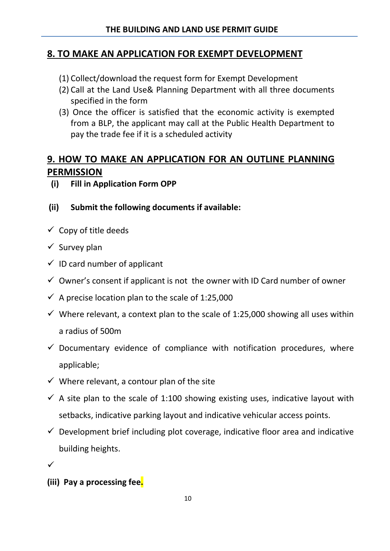### **8. TO MAKE AN APPLICATION FOR EXEMPT DEVELOPMENT**

- (1) Collect/download the request form for Exempt Development
- (2) Call at the Land Use& Planning Department with all three documents specified in the form
- (3) Once the officer is satisfied that the economic activity is exempted from a BLP, the applicant may call at the Public Health Department to pay the trade fee if it is a scheduled activity

### **9. HOW TO MAKE AN APPLICATION FOR AN OUTLINE PLANNING PERMISSION**

- **(i) Fill in Application Form OPP**
- **(ii) Submit the following documents if available:**
- $\checkmark$  Copy of title deeds
- $\checkmark$  Survey plan
- $\checkmark$  ID card number of applicant
- $\checkmark$  Owner's consent if applicant is not the owner with ID Card number of owner
- $\checkmark$  A precise location plan to the scale of 1:25,000
- $\checkmark$  Where relevant, a context plan to the scale of 1:25,000 showing all uses within a radius of 500m
- $\checkmark$  Documentary evidence of compliance with notification procedures, where applicable;
- $\checkmark$  Where relevant, a contour plan of the site
- $\checkmark$  A site plan to the scale of 1:100 showing existing uses, indicative layout with setbacks, indicative parking layout and indicative vehicular access points.
- $\checkmark$  Development brief including plot coverage, indicative floor area and indicative building heights.
- $\checkmark$
- **(iii) Pay a processing fee.**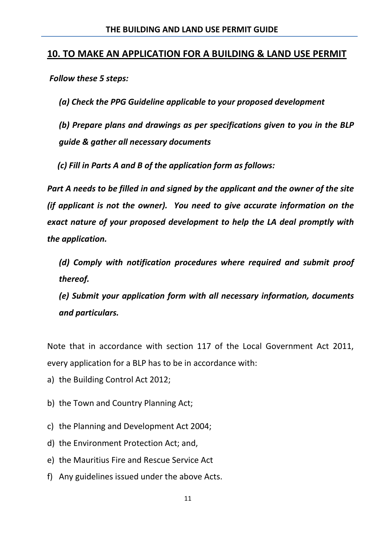### **10. TO MAKE AN APPLICATION FOR A BUILDING & LAND USE PERMIT**

*Follow these 5 steps:*

*(a) Check the PPG Guideline applicable to your proposed development*

*(b) Prepare plans and drawings as per specifications given to you in the BLP guide & gather all necessary documents*

 *(c) Fill in Parts A and B of the application form as follows:*

*Part A needs to be filled in and signed by the applicant and the owner of the site (if applicant is not the owner). You need to give accurate information on the exact nature of your proposed development to help the LA deal promptly with the application.*

*(d) Comply with notification procedures where required and submit proof thereof.*

*(e) Submit your application form with all necessary information, documents and particulars.*

Note that in accordance with section 117 of the Local Government Act 2011, every application for a BLP has to be in accordance with:

- a) the Building Control Act 2012;
- b) the Town and Country Planning Act;
- c) the Planning and Development Act 2004;
- d) the Environment Protection Act; and,
- e) the Mauritius Fire and Rescue Service Act
- f) Any guidelines issued under the above Acts.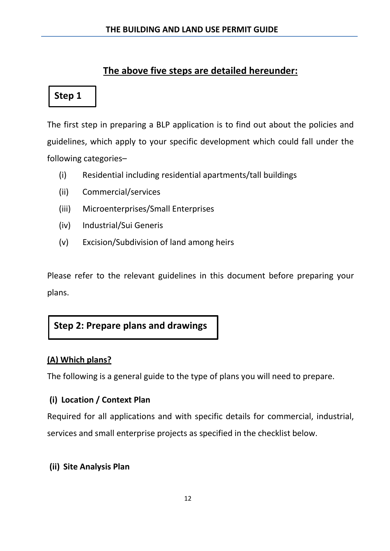### **The above five steps are detailed hereunder:**

### **Step 1**

The first step in preparing a BLP application is to find out about the policies and guidelines, which apply to your specific development which could fall under the following categories–

- (i) Residential including residential apartments/tall buildings
- (ii) Commercial/services
- (iii) Microenterprises/Small Enterprises
- (iv) Industrial/Sui Generis
- (v) Excision/Subdivision of land among heirs

Please refer to the relevant guidelines in this document before preparing your plans.

### **Step 2: Prepare plans and drawings**

### **(A) Which plans?**

The following is a general guide to the type of plans you will need to prepare.

### **(i) Location / Context Plan**

Required for all applications and with specific details for commercial, industrial, services and small enterprise projects as specified in the checklist below.

### **(ii) Site Analysis Plan**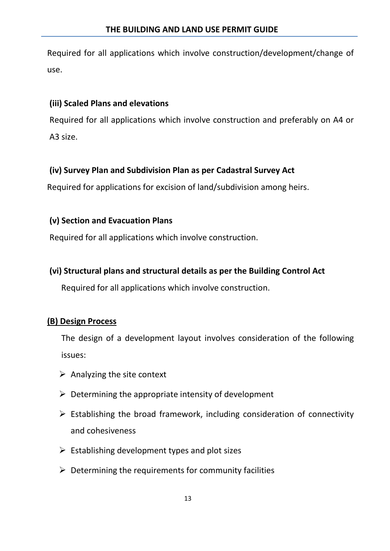Required for all applications which involve construction/development/change of use.

### **(iii) Scaled Plans and elevations**

Required for all applications which involve construction and preferably on A4 or A3 size.

### **(iv) Survey Plan and Subdivision Plan as per Cadastral Survey Act**

Required for applications for excision of land/subdivision among heirs.

### **(v) Section and Evacuation Plans**

Required for all applications which involve construction.

### **(vi) Structural plans and structural details as per the Building Control Act**

Required for all applications which involve construction.

### **(B) Design Process**

The design of a development layout involves consideration of the following issues:

- $\triangleright$  Analyzing the site context
- $\triangleright$  Determining the appropriate intensity of development
- $\triangleright$  Establishing the broad framework, including consideration of connectivity and cohesiveness
- $\triangleright$  Establishing development types and plot sizes
- $\triangleright$  Determining the requirements for community facilities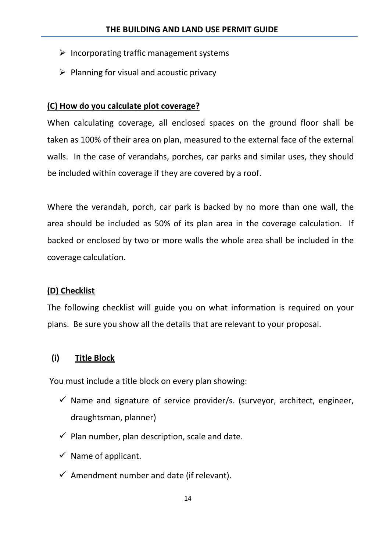- $\triangleright$  Incorporating traffic management systems
- $\triangleright$  Planning for visual and acoustic privacy

#### **(C) How do you calculate plot coverage?**

When calculating coverage, all enclosed spaces on the ground floor shall be taken as 100% of their area on plan, measured to the external face of the external walls. In the case of verandahs, porches, car parks and similar uses, they should be included within coverage if they are covered by a roof.

Where the verandah, porch, car park is backed by no more than one wall, the area should be included as 50% of its plan area in the coverage calculation. If backed or enclosed by two or more walls the whole area shall be included in the coverage calculation.

#### **(D) Checklist**

The following checklist will guide you on what information is required on your plans. Be sure you show all the details that are relevant to your proposal.

#### **(i) Title Block**

You must include a title block on every plan showing:

- $\checkmark$  Name and signature of service provider/s. (surveyor, architect, engineer, draughtsman, planner)
- $\checkmark$  Plan number, plan description, scale and date.
- $\checkmark$  Name of applicant.
- $\checkmark$  Amendment number and date (if relevant).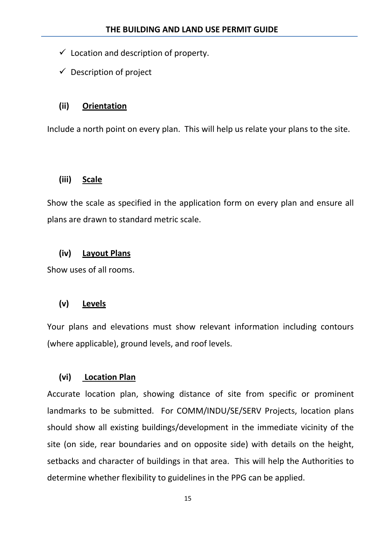- $\checkmark$  Location and description of property.
- $\checkmark$  Description of project

#### **(ii) Orientation**

Include a north point on every plan. This will help us relate your plans to the site.

#### **(iii) Scale**

Show the scale as specified in the application form on every plan and ensure all plans are drawn to standard metric scale.

#### **(iv) Layout Plans**

Show uses of all rooms.

#### **(v) Levels**

Your plans and elevations must show relevant information including contours (where applicable), ground levels, and roof levels.

#### **(vi) Location Plan**

Accurate location plan, showing distance of site from specific or prominent landmarks to be submitted. For COMM/INDU/SE/SERV Projects, location plans should show all existing buildings/development in the immediate vicinity of the site (on side, rear boundaries and on opposite side) with details on the height, setbacks and character of buildings in that area. This will help the Authorities to determine whether flexibility to guidelines in the PPG can be applied.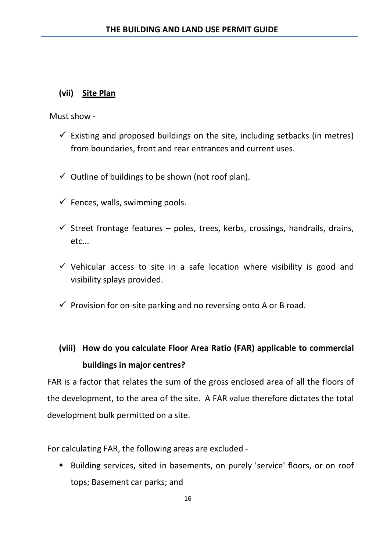### **(vii) Site Plan**

Must show -

- $\checkmark$  Existing and proposed buildings on the site, including setbacks (in metres) from boundaries, front and rear entrances and current uses.
- $\checkmark$  Outline of buildings to be shown (not roof plan).
- $\checkmark$  Fences, walls, swimming pools.
- $\checkmark$  Street frontage features poles, trees, kerbs, crossings, handrails, drains, etc...
- $\checkmark$  Vehicular access to site in a safe location where visibility is good and visibility splays provided.
- $\checkmark$  Provision for on-site parking and no reversing onto A or B road.

## **(viii) How do you calculate Floor Area Ratio (FAR) applicable to commercial buildings in major centres?**

FAR is a factor that relates the sum of the gross enclosed area of all the floors of the development, to the area of the site. A FAR value therefore dictates the total development bulk permitted on a site.

For calculating FAR, the following areas are excluded -

 Building services, sited in basements, on purely 'service' floors, or on roof tops; Basement car parks; and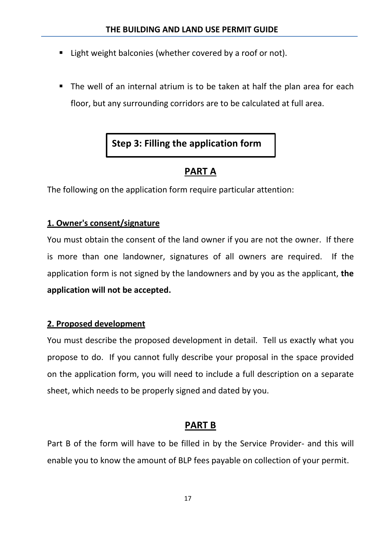- **E** Light weight balconies (whether covered by a roof or not).
- The well of an internal atrium is to be taken at half the plan area for each floor, but any surrounding corridors are to be calculated at full area.

### **Step 3: Filling the application form**

### **PART A**

The following on the application form require particular attention:

### **1. Owner's consent/signature**

You must obtain the consent of the land owner if you are not the owner. If there is more than one landowner, signatures of all owners are required. If the application form is not signed by the landowners and by you as the applicant, **the application will not be accepted.**

#### **2. Proposed development**

You must describe the proposed development in detail. Tell us exactly what you propose to do. If you cannot fully describe your proposal in the space provided on the application form, you will need to include a full description on a separate sheet, which needs to be properly signed and dated by you.

### **PART B**

Part B of the form will have to be filled in by the Service Provider- and this will enable you to know the amount of BLP fees payable on collection of your permit.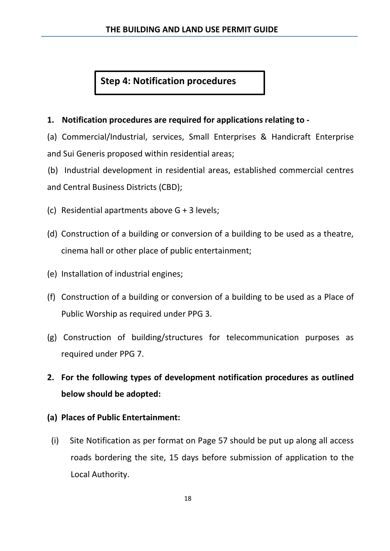### **Step 4: Notification procedures**

### **1. Notification procedures are required for applications relating to -**

(a) Commercial/Industrial, services, Small Enterprises & Handicraft Enterprise and Sui Generis proposed within residential areas;

(b) Industrial development in residential areas, established commercial centres and Central Business Districts (CBD);

- (c) Residential apartments above G + 3 levels;
- (d) Construction of a building or conversion of a building to be used as a theatre, cinema hall or other place of public entertainment;
- (e) Installation of industrial engines;
- (f) Construction of a building or conversion of a building to be used as a Place of Public Worship as required under PPG 3.
- (g) Construction of building/structures for telecommunication purposes as required under PPG 7.
- **2. For the following types of development notification procedures as outlined below should be adopted:**
- **(a) Places of Public Entertainment:**
	- (i) Site Notification as per format on Page 57 should be put up along all access roads bordering the site, 15 days before submission of application to the Local Authority.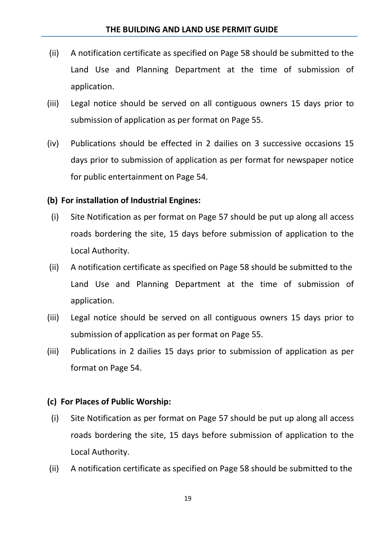- (ii) A notification certificate as specified on Page 58 should be submitted to the Land Use and Planning Department at the time of submission of application.
- (iii) Legal notice should be served on all contiguous owners 15 days prior to submission of application as per format on Page 55.
- (iv) Publications should be effected in 2 dailies on 3 successive occasions 15 days prior to submission of application as per format for newspaper notice for public entertainment on Page 54.

#### **(b) For installation of Industrial Engines:**

- (i) Site Notification as per format on Page 57 should be put up along all access roads bordering the site, 15 days before submission of application to the Local Authority.
- (ii) A notification certificate as specified on Page 58 should be submitted to the Land Use and Planning Department at the time of submission of application.
- (iii) Legal notice should be served on all contiguous owners 15 days prior to submission of application as per format on Page 55.
- (iii) Publications in 2 dailies 15 days prior to submission of application as per format on Page 54.

#### **(c) For Places of Public Worship:**

- (i) Site Notification as per format on Page 57 should be put up along all access roads bordering the site, 15 days before submission of application to the Local Authority.
- (ii) A notification certificate as specified on Page 58 should be submitted to the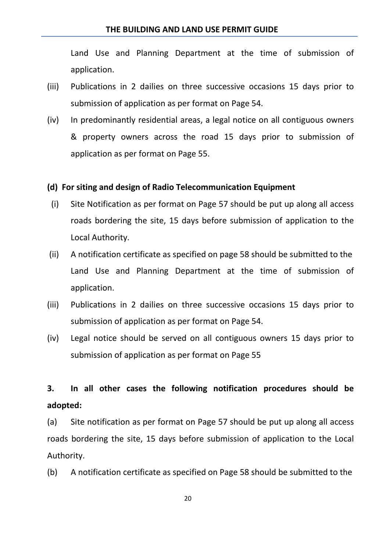#### **THE BUILDING AND LAND USE PERMIT GUIDE**

Land Use and Planning Department at the time of submission of application.

- (iii) Publications in 2 dailies on three successive occasions 15 days prior to submission of application as per format on Page 54.
- (iv) In predominantly residential areas, a legal notice on all contiguous owners & property owners across the road 15 days prior to submission of application as per format on Page 55.

#### **(d) For siting and design of Radio Telecommunication Equipment**

- (i) Site Notification as per format on Page 57 should be put up along all access roads bordering the site, 15 days before submission of application to the Local Authority.
- (ii) A notification certificate as specified on page 58 should be submitted to the Land Use and Planning Department at the time of submission of application.
- (iii) Publications in 2 dailies on three successive occasions 15 days prior to submission of application as per format on Page 54.
- (iv) Legal notice should be served on all contiguous owners 15 days prior to submission of application as per format on Page 55

### **3. In all other cases the following notification procedures should be adopted:**

(a) Site notification as per format on Page 57 should be put up along all access roads bordering the site, 15 days before submission of application to the Local Authority.

(b) A notification certificate as specified on Page 58 should be submitted to the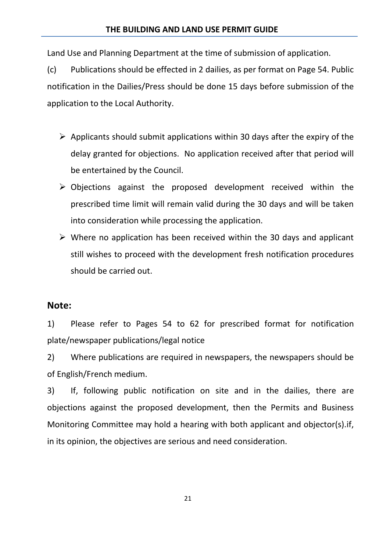Land Use and Planning Department at the time of submission of application.

(c) Publications should be effected in 2 dailies, as per format on Page 54. Public notification in the Dailies/Press should be done 15 days before submission of the application to the Local Authority.

- $\triangleright$  Applicants should submit applications within 30 days after the expiry of the delay granted for objections. No application received after that period will be entertained by the Council.
- $\triangleright$  Objections against the proposed development received within the prescribed time limit will remain valid during the 30 days and will be taken into consideration while processing the application.
- $\triangleright$  Where no application has been received within the 30 days and applicant still wishes to proceed with the development fresh notification procedures should be carried out.

### **Note:**

1) Please refer to Pages 54 to 62 for prescribed format for notification plate/newspaper publications/legal notice

2) Where publications are required in newspapers, the newspapers should be of English/French medium.

3) If, following public notification on site and in the dailies, there are objections against the proposed development, then the Permits and Business Monitoring Committee may hold a hearing with both applicant and objector(s).if, in its opinion, the objectives are serious and need consideration.

21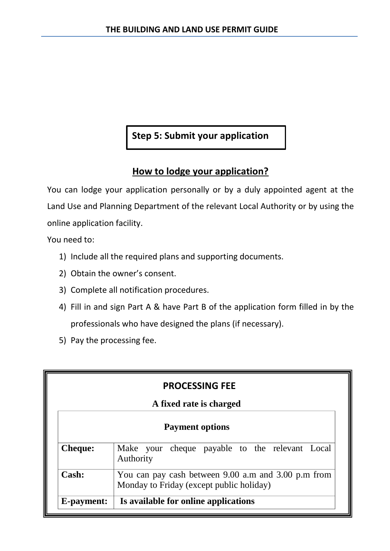### **Step 5: Submit your application**

### **How to lodge your application?**

You can lodge your application personally or by a duly appointed agent at the Land Use and Planning Department of the relevant Local Authority or by using the online application facility.

You need to:

- 1) Include all the required plans and supporting documents.
- 2) Obtain the owner's consent.
- 3) Complete all notification procedures.
- 4) Fill in and sign Part A & have Part B of the application form filled in by the professionals who have designed the plans (if necessary).
- 5) Pay the processing fee.

| <b>PROCESSING FEE</b>                                                                                    |  |  |  |  |  |  |
|----------------------------------------------------------------------------------------------------------|--|--|--|--|--|--|
| A fixed rate is charged                                                                                  |  |  |  |  |  |  |
| <b>Payment options</b>                                                                                   |  |  |  |  |  |  |
| Make your cheque payable to the relevant Local<br><b>Cheque:</b><br>Authority                            |  |  |  |  |  |  |
| Cash:<br>You can pay cash between 9.00 a.m and 3.00 p.m from<br>Monday to Friday (except public holiday) |  |  |  |  |  |  |
| Is available for online applications<br>E-payment:                                                       |  |  |  |  |  |  |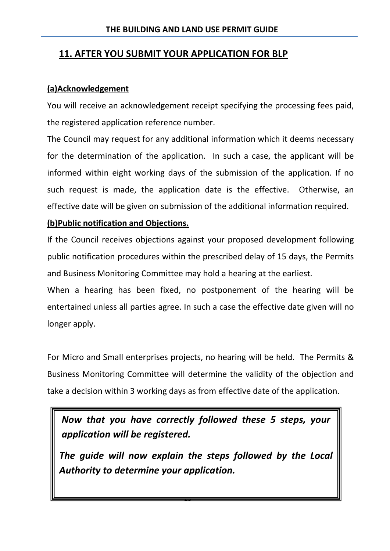### **11. AFTER YOU SUBMIT YOUR APPLICATION FOR BLP**

### **(a)Acknowledgement**

You will receive an acknowledgement receipt specifying the processing fees paid, the registered application reference number.

The Council may request for any additional information which it deems necessary for the determination of the application. In such a case, the applicant will be informed within eight working days of the submission of the application. If no such request is made, the application date is the effective. Otherwise, an effective date will be given on submission of the additional information required.

### **(b)Public notification and Objections.**

If the Council receives objections against your proposed development following public notification procedures within the prescribed delay of 15 days, the Permits and Business Monitoring Committee may hold a hearing at the earliest.

When a hearing has been fixed, no postponement of the hearing will be entertained unless all parties agree. In such a case the effective date given will no longer apply.

For Micro and Small enterprises projects, no hearing will be held. The Permits & Business Monitoring Committee will determine the validity of the objection and take a decision within 3 working days as from effective date of the application.

*Now that you have correctly followed these 5 steps, your application will be registered.*

*The guide will now explain the steps followed by the Local Authority to determine your application.*

23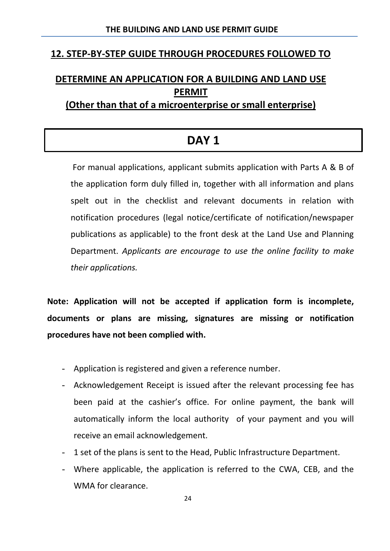### **12. STEP-BY-STEP GUIDE THROUGH PROCEDURES FOLLOWED TO**

# **DETERMINE AN APPLICATION FOR A BUILDING AND LAND USE PERMIT**

### **(Other than that of a microenterprise or small enterprise)**

### **DAY 1**

For manual applications, applicant submits application with Parts A & B of the application form duly filled in, together with all information and plans spelt out in the checklist and relevant documents in relation with notification procedures (legal notice/certificate of notification/newspaper publications as applicable) to the front desk at the Land Use and Planning Department. *Applicants are encourage to use the online facility to make their applications.* 

**Note: Application will not be accepted if application form is incomplete, documents or plans are missing, signatures are missing or notification procedures have not been complied with.**

- Application is registered and given a reference number.
- Acknowledgement Receipt is issued after the relevant processing fee has been paid at the cashier's office. For online payment, the bank will automatically inform the local authority of your payment and you will receive an email acknowledgement.
- 1 set of the plans is sent to the Head, Public Infrastructure Department.
- Where applicable, the application is referred to the CWA, CEB, and the WMA for clearance.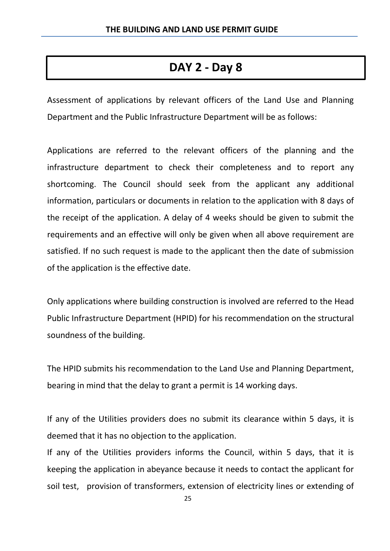# **DAY 2 - Day 8**

Assessment of applications by relevant officers of the Land Use and Planning Department and the Public Infrastructure Department will be as follows:

Applications are referred to the relevant officers of the planning and the infrastructure department to check their completeness and to report any shortcoming. The Council should seek from the applicant any additional information, particulars or documents in relation to the application with 8 days of the receipt of the application. A delay of 4 weeks should be given to submit the requirements and an effective will only be given when all above requirement are satisfied. If no such request is made to the applicant then the date of submission of the application is the effective date.

Only applications where building construction is involved are referred to the Head Public Infrastructure Department (HPID) for his recommendation on the structural soundness of the building.

The HPID submits his recommendation to the Land Use and Planning Department, bearing in mind that the delay to grant a permit is 14 working days.

If any of the Utilities providers does no submit its clearance within 5 days, it is deemed that it has no objection to the application.

If any of the Utilities providers informs the Council, within 5 days, that it is keeping the application in abeyance because it needs to contact the applicant for soil test, provision of transformers, extension of electricity lines or extending of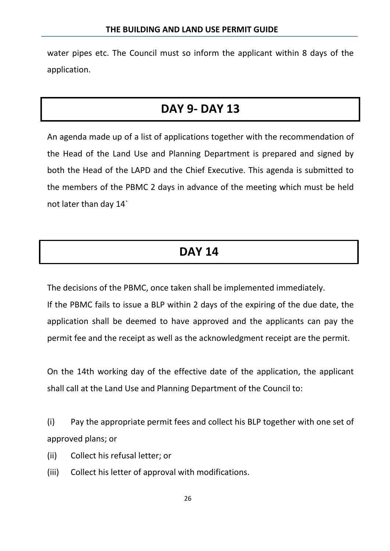water pipes etc. The Council must so inform the applicant within 8 days of the application.

# **DAY 9- DAY 13**

An agenda made up of a list of applications together with the recommendation of the Head of the Land Use and Planning Department is prepared and signed by both the Head of the LAPD and the Chief Executive. This agenda is submitted to the members of the PBMC 2 days in advance of the meeting which must be held not later than day 14`

# **DAY 14**

The decisions of the PBMC, once taken shall be implemented immediately. If the PBMC fails to issue a BLP within 2 days of the expiring of the due date, the application shall be deemed to have approved and the applicants can pay the permit fee and the receipt as well as the acknowledgment receipt are the permit.

On the 14th working day of the effective date of the application, the applicant shall call at the Land Use and Planning Department of the Council to:

(i) Pay the appropriate permit fees and collect his BLP together with one set of approved plans; or

- (ii) Collect his refusal letter; or
- (iii) Collect his letter of approval with modifications.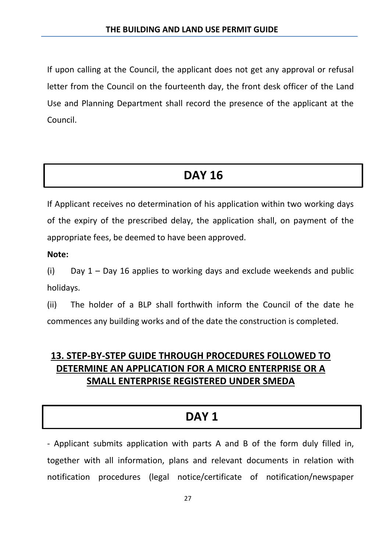If upon calling at the Council, the applicant does not get any approval or refusal letter from the Council on the fourteenth day, the front desk officer of the Land Use and Planning Department shall record the presence of the applicant at the Council.

# **DAY 16**

If Applicant receives no determination of his application within two working days of the expiry of the prescribed delay, the application shall, on payment of the appropriate fees, be deemed to have been approved.

**Note:**

(i) Day  $1 -$  Day 16 applies to working days and exclude weekends and public holidays.

(ii) The holder of a BLP shall forthwith inform the Council of the date he commences any building works and of the date the construction is completed.

### **13. STEP-BY-STEP GUIDE THROUGH PROCEDURES FOLLOWED TO DETERMINE AN APPLICATION FOR A MICRO ENTERPRISE OR A SMALL ENTERPRISE REGISTERED UNDER SMEDA**

# **DAY 1**

- Applicant submits application with parts A and B of the form duly filled in, together with all information, plans and relevant documents in relation with notification procedures (legal notice/certificate of notification/newspaper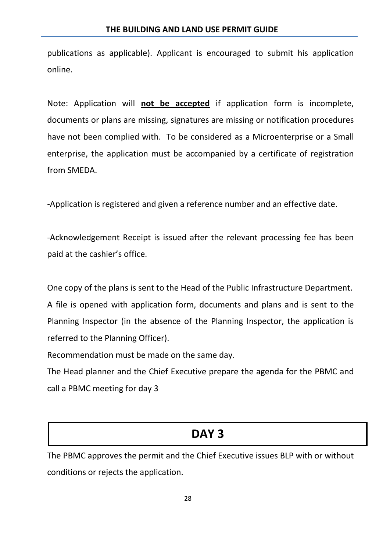publications as applicable). Applicant is encouraged to submit his application online.

Note: Application will **not be accepted** if application form is incomplete, documents or plans are missing, signatures are missing or notification procedures have not been complied with. To be considered as a Microenterprise or a Small enterprise, the application must be accompanied by a certificate of registration from SMEDA.

-Application is registered and given a reference number and an effective date.

-Acknowledgement Receipt is issued after the relevant processing fee has been paid at the cashier's office.

One copy of the plans is sent to the Head of the Public Infrastructure Department. A file is opened with application form, documents and plans and is sent to the Planning Inspector (in the absence of the Planning Inspector, the application is referred to the Planning Officer).

Recommendation must be made on the same day.

The Head planner and the Chief Executive prepare the agenda for the PBMC and call a PBMC meeting for day 3

# **DAY 3**

The PBMC approves the permit and the Chief Executive issues BLP with or without conditions or rejects the application.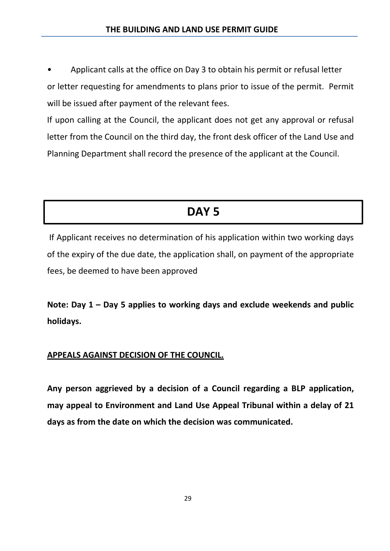• Applicant calls at the office on Day 3 to obtain his permit or refusal letter or letter requesting for amendments to plans prior to issue of the permit. Permit will be issued after payment of the relevant fees.

If upon calling at the Council, the applicant does not get any approval or refusal letter from the Council on the third day, the front desk officer of the Land Use and Planning Department shall record the presence of the applicant at the Council.

# **DAY 5**

If Applicant receives no determination of his application within two working days of the expiry of the due date, the application shall, on payment of the appropriate fees, be deemed to have been approved

**Note: Day 1 – Day 5 applies to working days and exclude weekends and public holidays.**

### **APPEALS AGAINST DECISION OF THE COUNCIL.**

**Any person aggrieved by a decision of a Council regarding a BLP application, may appeal to Environment and Land Use Appeal Tribunal within a delay of 21 days as from the date on which the decision was communicated.**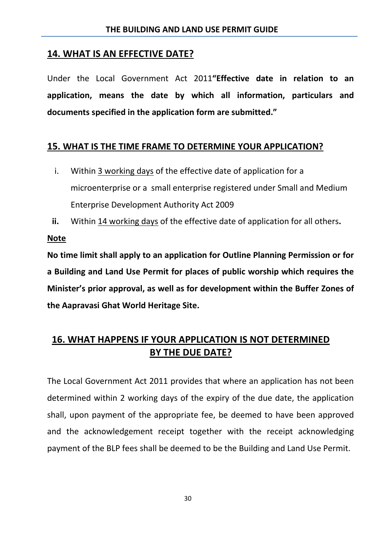### **14. WHAT IS AN EFFECTIVE DATE?**

Under the Local Government Act 2011**"Effective date in relation to an application, means the date by which all information, particulars and documents specified in the application form are submitted."**

### **15. WHAT IS THE TIME FRAME TO DETERMINE YOUR APPLICATION?**

- i. Within 3 working days of the effective date of application for a microenterprise or a small enterprise registered under Small and Medium Enterprise Development Authority Act 2009
- **ii.** Within 14 working days of the effective date of application for all others**.**

**Note** 

**No time limit shall apply to an application for Outline Planning Permission or for a Building and Land Use Permit for places of public worship which requires the Minister's prior approval, as well as for development within the Buffer Zones of the Aapravasi Ghat World Heritage Site.**

### **16. WHAT HAPPENS IF YOUR APPLICATION IS NOT DETERMINED BY THE DUE DATE?**

The Local Government Act 2011 provides that where an application has not been determined within 2 working days of the expiry of the due date, the application shall, upon payment of the appropriate fee, be deemed to have been approved and the acknowledgement receipt together with the receipt acknowledging payment of the BLP fees shall be deemed to be the Building and Land Use Permit.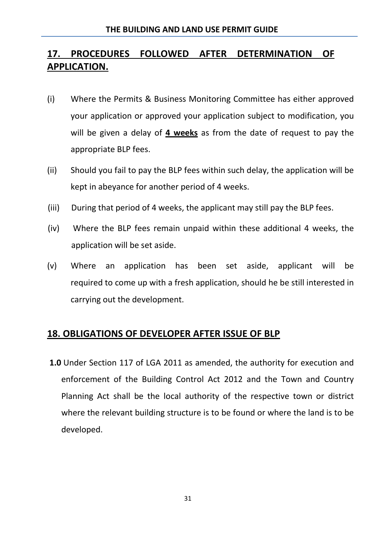### **17. PROCEDURES FOLLOWED AFTER DETERMINATION OF APPLICATION.**

- (i) Where the Permits & Business Monitoring Committee has either approved your application or approved your application subject to modification, you will be given a delay of **4 weeks** as from the date of request to pay the appropriate BLP fees.
- (ii) Should you fail to pay the BLP fees within such delay, the application will be kept in abeyance for another period of 4 weeks.
- (iii) During that period of 4 weeks, the applicant may still pay the BLP fees.
- (iv) Where the BLP fees remain unpaid within these additional 4 weeks, the application will be set aside.
- (v) Where an application has been set aside, applicant will be required to come up with a fresh application, should he be still interested in carrying out the development.

### **18. OBLIGATIONS OF DEVELOPER AFTER ISSUE OF BLP**

**1.0** Under Section 117 of LGA 2011 as amended, the authority for execution and enforcement of the Building Control Act 2012 and the Town and Country Planning Act shall be the local authority of the respective town or district where the relevant building structure is to be found or where the land is to be developed.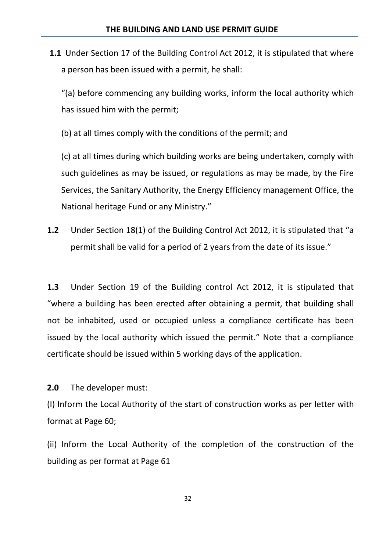**1.1** Under Section 17 of the Building Control Act 2012, it is stipulated that where a person has been issued with a permit, he shall:

"(a) before commencing any building works, inform the local authority which has issued him with the permit;

(b) at all times comply with the conditions of the permit; and

(c) at all times during which building works are being undertaken, comply with such guidelines as may be issued, or regulations as may be made, by the Fire Services, the Sanitary Authority, the Energy Efficiency management Office, the National heritage Fund or any Ministry."

**1.2** Under Section 18(1) of the Building Control Act 2012, it is stipulated that "a permit shall be valid for a period of 2 years from the date of its issue."

**1.3** Under Section 19 of the Building control Act 2012, it is stipulated that "where a building has been erected after obtaining a permit, that building shall not be inhabited, used or occupied unless a compliance certificate has been issued by the local authority which issued the permit." Note that a compliance certificate should be issued within 5 working days of the application.

**2.0** The developer must:

(I) Inform the Local Authority of the start of construction works as per letter with format at Page 60;

(ii) Inform the Local Authority of the completion of the construction of the building as per format at Page 61

32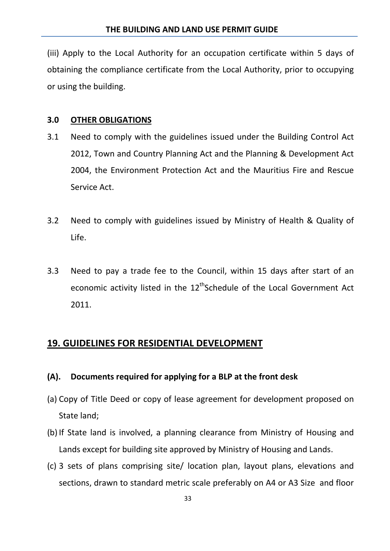(iii) Apply to the Local Authority for an occupation certificate within 5 days of obtaining the compliance certificate from the Local Authority, prior to occupying or using the building.

### **3.0 OTHER OBLIGATIONS**

- 3.1 Need to comply with the guidelines issued under the Building Control Act 2012, Town and Country Planning Act and the Planning & Development Act 2004, the Environment Protection Act and the Mauritius Fire and Rescue Service Act.
- 3.2 Need to comply with guidelines issued by Ministry of Health & Quality of Life.
- 3.3 Need to pay a trade fee to the Council, within 15 days after start of an economic activity listed in the 12<sup>th</sup>Schedule of the Local Government Act 2011.

### **19. GUIDELINES FOR RESIDENTIAL DEVELOPMENT**

### **(A). Documents required for applying for a BLP at the front desk**

- (a) Copy of Title Deed or copy of lease agreement for development proposed on State land;
- (b) If State land is involved, a planning clearance from Ministry of Housing and Lands except for building site approved by Ministry of Housing and Lands.
- (c) 3 sets of plans comprising site/ location plan, layout plans, elevations and sections, drawn to standard metric scale preferably on A4 or A3 Size and floor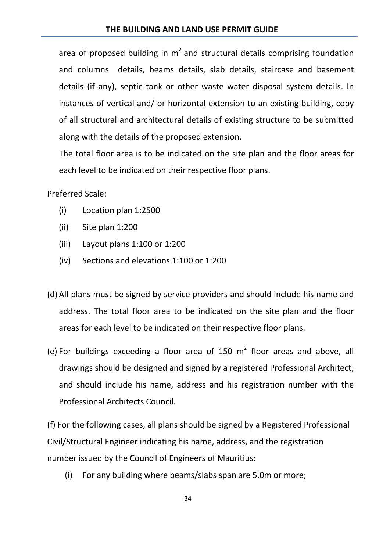area of proposed building in  $m^2$  and structural details comprising foundation and columns details, beams details, slab details, staircase and basement details (if any), septic tank or other waste water disposal system details. In instances of vertical and/ or horizontal extension to an existing building, copy of all structural and architectural details of existing structure to be submitted along with the details of the proposed extension.

The total floor area is to be indicated on the site plan and the floor areas for each level to be indicated on their respective floor plans.

Preferred Scale:

- (i) Location plan 1:2500
- (ii) Site plan 1:200
- (iii) Layout plans 1:100 or 1:200
- (iv) Sections and elevations 1:100 or 1:200
- (d) All plans must be signed by service providers and should include his name and address. The total floor area to be indicated on the site plan and the floor areas for each level to be indicated on their respective floor plans.
- (e) For buildings exceeding a floor area of 150  $m<sup>2</sup>$  floor areas and above, all drawings should be designed and signed by a registered Professional Architect, and should include his name, address and his registration number with the Professional Architects Council.

(f) For the following cases, all plans should be signed by a Registered Professional Civil/Structural Engineer indicating his name, address, and the registration number issued by the Council of Engineers of Mauritius:

(i) For any building where beams/slabs span are 5.0m or more;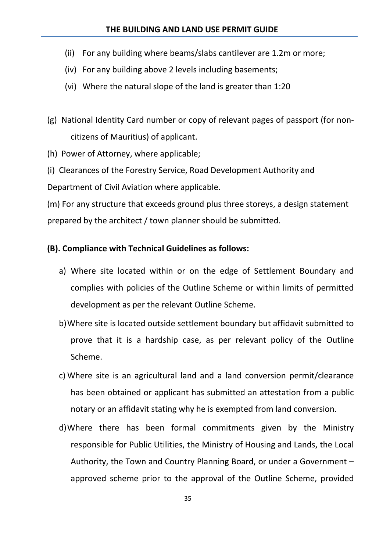#### **THE BUILDING AND LAND USE PERMIT GUIDE**

- (ii) For any building where beams/slabs cantilever are 1.2m or more;
- (iv) For any building above 2 levels including basements;
- (vi) Where the natural slope of the land is greater than 1:20
- (g) National Identity Card number or copy of relevant pages of passport (for noncitizens of Mauritius) of applicant.
- (h) Power of Attorney, where applicable;

(i) Clearances of the Forestry Service, Road Development Authority and

Department of Civil Aviation where applicable.

(m) For any structure that exceeds ground plus three storeys, a design statement prepared by the architect / town planner should be submitted.

#### **(B). Compliance with Technical Guidelines as follows:**

- a) Where site located within or on the edge of Settlement Boundary and complies with policies of the Outline Scheme or within limits of permitted development as per the relevant Outline Scheme.
- b)Where site is located outside settlement boundary but affidavit submitted to prove that it is a hardship case, as per relevant policy of the Outline Scheme.
- c) Where site is an agricultural land and a land conversion permit/clearance has been obtained or applicant has submitted an attestation from a public notary or an affidavit stating why he is exempted from land conversion.
- d)Where there has been formal commitments given by the Ministry responsible for Public Utilities, the Ministry of Housing and Lands, the Local Authority, the Town and Country Planning Board, or under a Government – approved scheme prior to the approval of the Outline Scheme, provided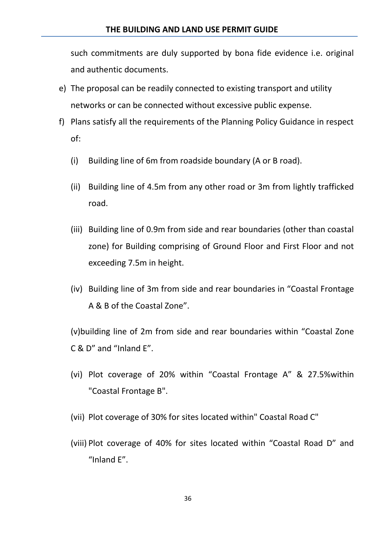such commitments are duly supported by bona fide evidence i.e. original and authentic documents.

- e) The proposal can be readily connected to existing transport and utility networks or can be connected without excessive public expense.
- f) Plans satisfy all the requirements of the Planning Policy Guidance in respect of:
	- (i) Building line of 6m from roadside boundary (A or B road).
	- (ii) Building line of 4.5m from any other road or 3m from lightly trafficked road.
	- (iii) Building line of 0.9m from side and rear boundaries (other than coastal zone) for Building comprising of Ground Floor and First Floor and not exceeding 7.5m in height.
	- (iv) Building line of 3m from side and rear boundaries in "Coastal Frontage A & B of the Coastal Zone".

(v)building line of 2m from side and rear boundaries within "Coastal Zone C & D" and "Inland E".

- (vi) Plot coverage of 20% within "Coastal Frontage A" & 27.5%within "Coastal Frontage B".
- (vii) Plot coverage of 30% for sites located within" Coastal Road C"
- (viii) Plot coverage of 40% for sites located within "Coastal Road D" and "Inland E".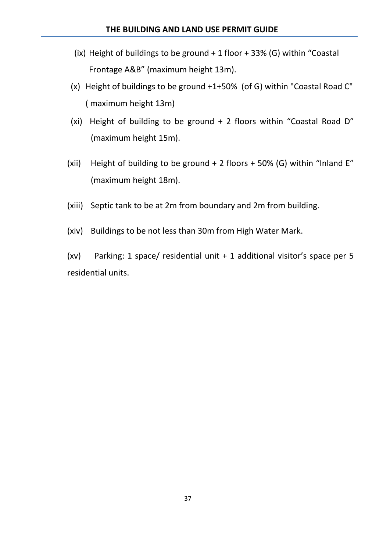- (ix) Height of buildings to be ground  $+1$  floor  $+33%$  (G) within "Coastal Frontage A&B" (maximum height 13m).
- (x) Height of buildings to be ground +1+50% (of G) within "Coastal Road C" ( maximum height 13m)
- (xi) Height of building to be ground + 2 floors within "Coastal Road D" (maximum height 15m).
- (xii) Height of building to be ground  $+ 2$  floors  $+ 50\%$  (G) within "Inland E" (maximum height 18m).
- (xiii) Septic tank to be at 2m from boundary and 2m from building.
- (xiv) Buildings to be not less than 30m from High Water Mark.

(xv) Parking: 1 space/ residential unit + 1 additional visitor's space per 5 residential units.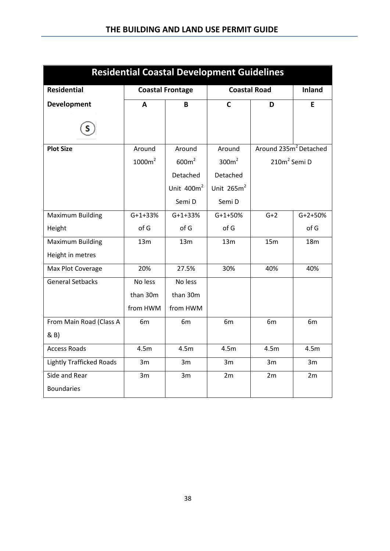| <b>Residential Coastal Development Guidelines</b> |                    |                         |                     |                                   |                 |  |  |  |
|---------------------------------------------------|--------------------|-------------------------|---------------------|-----------------------------------|-----------------|--|--|--|
| <b>Residential</b>                                |                    | <b>Coastal Frontage</b> | <b>Coastal Road</b> | <b>Inland</b>                     |                 |  |  |  |
| <b>Development</b>                                | A                  | B                       | $\mathsf{C}$        | D                                 | Е               |  |  |  |
|                                                   |                    |                         |                     |                                   |                 |  |  |  |
| <b>Plot Size</b>                                  | Around             | Around                  | Around              | Around 235m <sup>2</sup> Detached |                 |  |  |  |
|                                                   | 1000m <sup>2</sup> | 600m <sup>2</sup>       | 300m <sup>2</sup>   | 210m <sup>2</sup> Semi D          |                 |  |  |  |
|                                                   |                    | Detached                | Detached            |                                   |                 |  |  |  |
|                                                   |                    | Unit $400m^2$           | Unit $265m^2$       |                                   |                 |  |  |  |
|                                                   |                    | Semi D                  | Semi D              |                                   |                 |  |  |  |
| <b>Maximum Building</b>                           | $G+1+33%$          | $G+1+33%$               | $G+1+50%$           | $G+2$                             | $G+2+50%$       |  |  |  |
| Height                                            | of G               | of G                    | of G                |                                   | of G            |  |  |  |
| <b>Maximum Building</b>                           | 13m                | 13m                     | 13m                 | 15m                               | 18 <sub>m</sub> |  |  |  |
| Height in metres                                  |                    |                         |                     |                                   |                 |  |  |  |
| Max Plot Coverage                                 | 20%                | 27.5%                   | 30%                 | 40%                               | 40%             |  |  |  |
| <b>General Setbacks</b>                           | No less            | No less                 |                     |                                   |                 |  |  |  |
|                                                   | than 30m           | than 30m                |                     |                                   |                 |  |  |  |
|                                                   | from HWM           | from HWM                |                     |                                   |                 |  |  |  |
| From Main Road (Class A                           | 6m                 | 6m                      | 6m                  | 6 <sub>m</sub>                    | 6m              |  |  |  |
| & B)                                              |                    |                         |                     |                                   |                 |  |  |  |
| <b>Access Roads</b>                               | 4.5m               | 4.5m                    | 4.5m                | 4.5m                              | 4.5m            |  |  |  |
| <b>Lightly Trafficked Roads</b>                   | 3m                 | 3m                      | 3m                  | 3m                                | 3m              |  |  |  |
| Side and Rear                                     | 3m                 | 3m                      | 2m                  | 2m                                | 2m              |  |  |  |
| <b>Boundaries</b>                                 |                    |                         |                     |                                   |                 |  |  |  |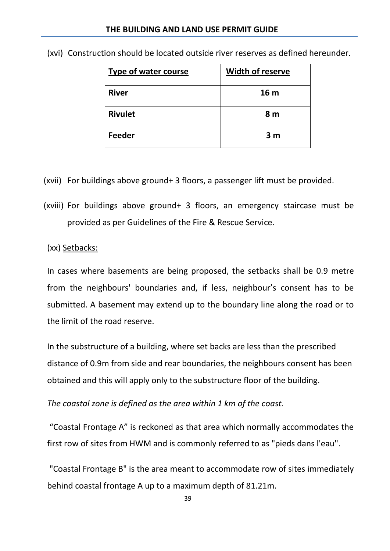| <b>Type of water course</b> | <b>Width of reserve</b> |
|-----------------------------|-------------------------|
| <b>River</b>                | 16 <sub>m</sub>         |
| <b>Rivulet</b>              | 8 <sub>m</sub>          |
| Feeder                      | 3 <sub>m</sub>          |

(xvi) Construction should be located outside river reserves as defined hereunder.

(xvii) For buildings above ground+ 3 floors, a passenger lift must be provided.

(xviii) For buildings above ground+ 3 floors, an emergency staircase must be provided as per Guidelines of the Fire & Rescue Service.

(xx) Setbacks:

In cases where basements are being proposed, the setbacks shall be 0.9 metre from the neighbours' boundaries and, if less, neighbour's consent has to be submitted. A basement may extend up to the boundary line along the road or to the limit of the road reserve.

In the substructure of a building, where set backs are less than the prescribed distance of 0.9m from side and rear boundaries, the neighbours consent has been obtained and this will apply only to the substructure floor of the building.

*The coastal zone is defined as the area within 1 km of the coast.*

"Coastal Frontage A" is reckoned as that area which normally accommodates the first row of sites from HWM and is commonly referred to as "pieds dans l'eau".

"Coastal Frontage B" is the area meant to accommodate row of sites immediately behind coastal frontage A up to a maximum depth of 81.21m.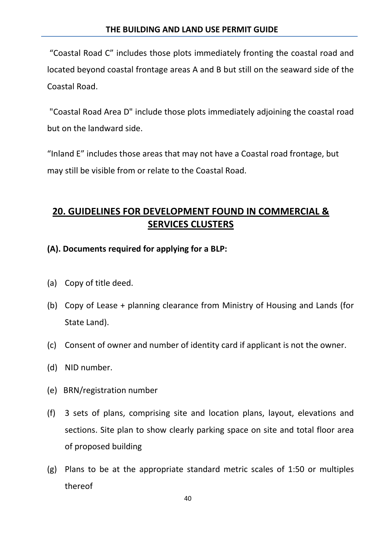"Coastal Road C" includes those plots immediately fronting the coastal road and located beyond coastal frontage areas A and B but still on the seaward side of the Coastal Road.

"Coastal Road Area D" include those plots immediately adjoining the coastal road but on the landward side.

"Inland E" includes those areas that may not have a Coastal road frontage, but may still be visible from or relate to the Coastal Road.

### **20. GUIDELINES FOR DEVELOPMENT FOUND IN COMMERCIAL & SERVICES CLUSTERS**

### **(A). Documents required for applying for a BLP:**

- (a) Copy of title deed.
- (b) Copy of Lease + planning clearance from Ministry of Housing and Lands (for State Land).
- (c) Consent of owner and number of identity card if applicant is not the owner.
- (d) NID number.
- (e) BRN/registration number
- (f) 3 sets of plans, comprising site and location plans, layout, elevations and sections. Site plan to show clearly parking space on site and total floor area of proposed building
- (g) Plans to be at the appropriate standard metric scales of 1:50 or multiples thereof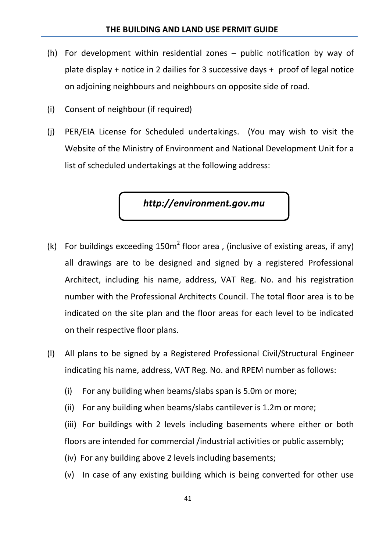- (h) For development within residential zones public notification by way of plate display + notice in 2 dailies for 3 successive days + proof of legal notice on adjoining neighbours and neighbours on opposite side of road.
- (i) Consent of neighbour (if required)
- (j) PER/EIA License for Scheduled undertakings. (You may wish to visit the Website of the Ministry of Environment and National Development Unit for a list of scheduled undertakings at the following address:

*http://environment.gov.mu*

- (k) For buildings exceeding  $150m^2$  floor area, (inclusive of existing areas, if any) all drawings are to be designed and signed by a registered Professional Architect, including his name, address, VAT Reg. No. and his registration number with the Professional Architects Council. The total floor area is to be indicated on the site plan and the floor areas for each level to be indicated on their respective floor plans.
- (l) All plans to be signed by a Registered Professional Civil/Structural Engineer indicating his name, address, VAT Reg. No. and RPEM number as follows:
	- (i) For any building when beams/slabs span is 5.0m or more;
	- (ii) For any building when beams/slabs cantilever is 1.2m or more;
	- (iii) For buildings with 2 levels including basements where either or both floors are intended for commercial /industrial activities or public assembly;
	- (iv) For any building above 2 levels including basements;
	- (v) In case of any existing building which is being converted for other use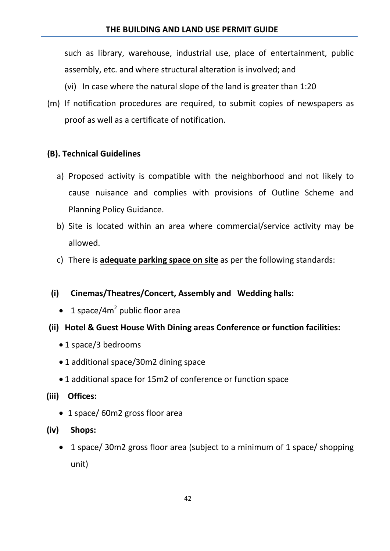such as library, warehouse, industrial use, place of entertainment, public assembly, etc. and where structural alteration is involved; and

- (vi) In case where the natural slope of the land is greater than 1:20
- (m) If notification procedures are required, to submit copies of newspapers as proof as well as a certificate of notification.

### **(B). Technical Guidelines**

- a) Proposed activity is compatible with the neighborhood and not likely to cause nuisance and complies with provisions of Outline Scheme and Planning Policy Guidance.
- b) Site is located within an area where commercial/service activity may be allowed.
- c) There is **adequate parking space on site** as per the following standards:
- **(i) Cinemas/Theatres/Concert, Assembly and Wedding halls:**
	- 1 space/4 $m^2$  public floor area
- **(ii) Hotel & Guest House With Dining areas Conference or function facilities:**
	- 1 space/3 bedrooms
	- 1 additional space/30m2 dining space
	- 1 additional space for 15m2 of conference or function space
- **(iii) Offices:**
	- 1 space/60m2 gross floor area
- **(iv) Shops:**
	- 1 space/ 30m2 gross floor area (subject to a minimum of 1 space/ shopping unit)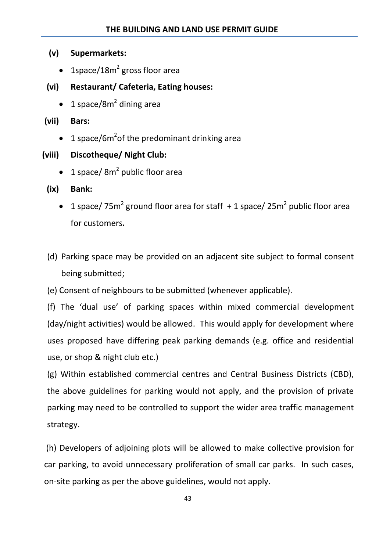- **(v) Supermarkets:** 
	- 1space/18 $m^2$  gross floor area
- **(vi) Restaurant/ Cafeteria, Eating houses:** 
	- 1 space/8 $m^2$  dining area
- **(vii) Bars:**
	- 1 space/6m<sup>2</sup>of the predominant drinking area

### **(viii) Discotheque/ Night Club:**

- 1 space/ $8m^2$  public floor area
- **(ix) Bank:**
	- 1 space/  $75m^2$  ground floor area for staff  $+1$  space/  $25m^2$  public floor area for customers*.*
- (d) Parking space may be provided on an adjacent site subject to formal consent being submitted;
- (e) Consent of neighbours to be submitted (whenever applicable).

(f) The 'dual use' of parking spaces within mixed commercial development (day/night activities) would be allowed. This would apply for development where uses proposed have differing peak parking demands (e.g. office and residential use, or shop & night club etc.)

(g) Within established commercial centres and Central Business Districts (CBD), the above guidelines for parking would not apply, and the provision of private parking may need to be controlled to support the wider area traffic management strategy.

(h) Developers of adjoining plots will be allowed to make collective provision for car parking, to avoid unnecessary proliferation of small car parks. In such cases, on-site parking as per the above guidelines, would not apply.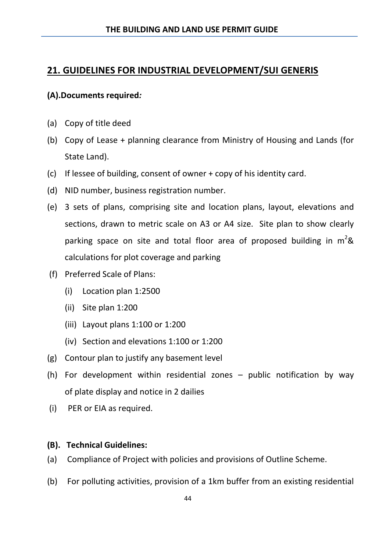### **21. GUIDELINES FOR INDUSTRIAL DEVELOPMENT/SUI GENERIS**

### **(A).Documents required***:*

- (a) Copy of title deed
- (b) Copy of Lease + planning clearance from Ministry of Housing and Lands (for State Land).
- (c) If lessee of building, consent of owner + copy of his identity card.
- (d) NID number, business registration number.
- (e) 3 sets of plans, comprising site and location plans, layout, elevations and sections, drawn to metric scale on A3 or A4 size. Site plan to show clearly parking space on site and total floor area of proposed building in  $m^2\&$ calculations for plot coverage and parking
- (f) Preferred Scale of Plans:
	- (i) Location plan 1:2500
	- (ii) Site plan 1:200
	- (iii) Layout plans 1:100 or 1:200
	- (iv) Section and elevations 1:100 or 1:200
- (g) Contour plan to justify any basement level
- (h) For development within residential zones public notification by way of plate display and notice in 2 dailies
- (i) PER or EIA as required.

### **(B). Technical Guidelines:**

- (a) Compliance of Project with policies and provisions of Outline Scheme.
- (b) For polluting activities, provision of a 1km buffer from an existing residential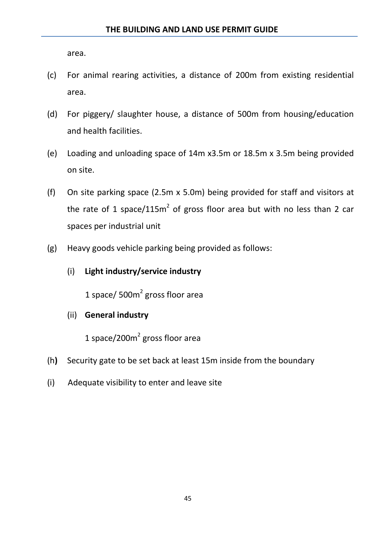area.

- (c) For animal rearing activities, a distance of 200m from existing residential area.
- (d) For piggery/ slaughter house, a distance of 500m from housing/education and health facilities.
- (e) Loading and unloading space of 14m x3.5m or 18.5m x 3.5m being provided on site.
- (f) On site parking space (2.5m x 5.0m) being provided for staff and visitors at the rate of 1 space/115 $m^2$  of gross floor area but with no less than 2 car spaces per industrial unit
- (g) Heavy goods vehicle parking being provided as follows:
	- (i) **Light industry/service industry**

1 space/  $500m<sup>2</sup>$  gross floor area

(ii) **General industry**

1 space/200 $m^2$  gross floor area

- (h**)** Security gate to be set back at least 15m inside from the boundary
- (i) Adequate visibility to enter and leave site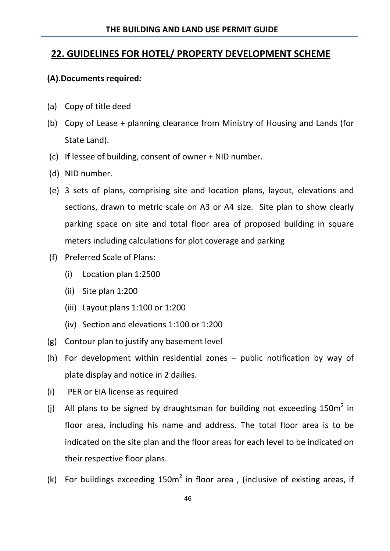### **22. GUIDELINES FOR HOTEL/ PROPERTY DEVELOPMENT SCHEME**

### **(A).Documents required***:*

- (a) Copy of title deed
- (b) Copy of Lease + planning clearance from Ministry of Housing and Lands (for State Land).
- (c) If lessee of building, consent of owner + NID number.
- (d) NID number.
- (e) 3 sets of plans, comprising site and location plans, layout, elevations and sections, drawn to metric scale on A3 or A4 size. Site plan to show clearly parking space on site and total floor area of proposed building in square meters including calculations for plot coverage and parking
- (f) Preferred Scale of Plans:
	- (i) Location plan 1:2500
	- (ii) Site plan 1:200
	- (iii) Layout plans 1:100 or 1:200
	- (iv) Section and elevations 1:100 or 1:200
- (g) Contour plan to justify any basement level
- (h) For development within residential zones public notification by way of plate display and notice in 2 dailies.
- (i) PER or EIA license as required
- (i) All plans to be signed by draughtsman for building not exceeding  $150m^2$  in floor area, including his name and address. The total floor area is to be indicated on the site plan and the floor areas for each level to be indicated on their respective floor plans.
- (k) For buildings exceeding  $150m^2$  in floor area, (inclusive of existing areas, if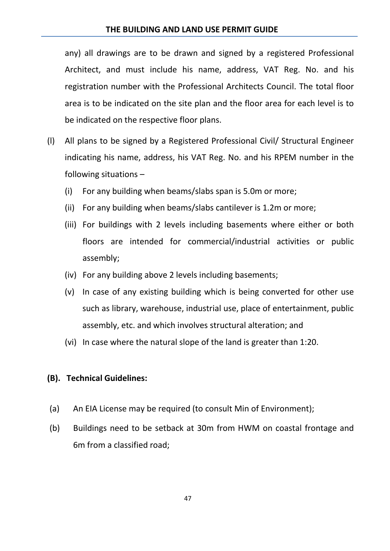any) all drawings are to be drawn and signed by a registered Professional Architect, and must include his name, address, VAT Reg. No. and his registration number with the Professional Architects Council. The total floor area is to be indicated on the site plan and the floor area for each level is to be indicated on the respective floor plans.

- (l) All plans to be signed by a Registered Professional Civil/ Structural Engineer indicating his name, address, his VAT Reg. No. and his RPEM number in the following situations –
	- (i) For any building when beams/slabs span is 5.0m or more;
	- (ii) For any building when beams/slabs cantilever is 1.2m or more;
	- (iii) For buildings with 2 levels including basements where either or both floors are intended for commercial/industrial activities or public assembly;
	- (iv) For any building above 2 levels including basements;
	- (v) In case of any existing building which is being converted for other use such as library, warehouse, industrial use, place of entertainment, public assembly, etc. and which involves structural alteration; and
	- (vi) In case where the natural slope of the land is greater than 1:20.

### **(B). Technical Guidelines:**

- (a) An EIA License may be required (to consult Min of Environment);
- (b) Buildings need to be setback at 30m from HWM on coastal frontage and 6m from a classified road;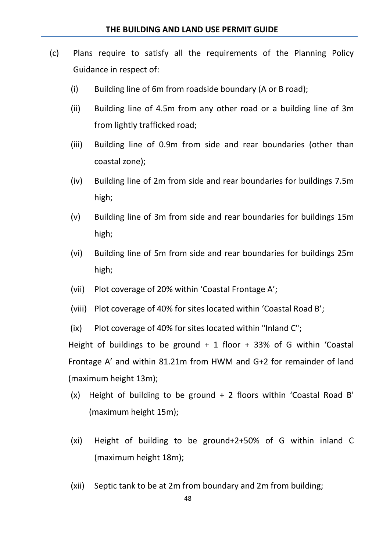- (c) Plans require to satisfy all the requirements of the Planning Policy Guidance in respect of:
	- $(i)$  Building line of 6m from roadside boundary (A or B road);
	- (ii) Building line of 4.5m from any other road or a building line of 3m from lightly trafficked road;
	- (iii) Building line of 0.9m from side and rear boundaries (other than coastal zone);
	- (iv) Building line of 2m from side and rear boundaries for buildings 7.5m high;
	- (v) Building line of 3m from side and rear boundaries for buildings 15m high;
	- (vi) Building line of 5m from side and rear boundaries for buildings 25m high;
	- (vii) Plot coverage of 20% within 'Coastal Frontage A';
	- (viii) Plot coverage of 40% for sites located within 'Coastal Road B';
	- (ix) Plot coverage of 40% for sites located within "Inland C";

Height of buildings to be ground  $+ 1$  floor  $+ 33%$  of G within 'Coastal Frontage A' and within 81.21m from HWM and G+2 for remainder of land (maximum height 13m);

- (x) Height of building to be ground + 2 floors within 'Coastal Road B' (maximum height 15m);
- (xi) Height of building to be ground+2+50% of G within inland C (maximum height 18m);
- (xii) Septic tank to be at 2m from boundary and 2m from building;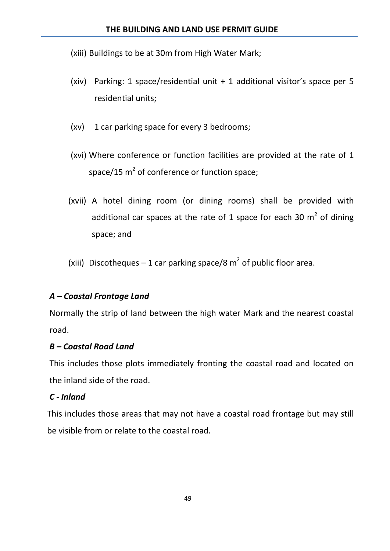(xiii) Buildings to be at 30m from High Water Mark;

- (xiv) Parking: 1 space/residential unit + 1 additional visitor's space per 5 residential units;
- (xv) 1 car parking space for every 3 bedrooms;
- (xvi) Where conference or function facilities are provided at the rate of 1 space/15  $m^2$  of conference or function space;
- (xvii) A hotel dining room (or dining rooms) shall be provided with additional car spaces at the rate of 1 space for each 30  $m^2$  of dining space; and

(xiii) Discotheques – 1 car parking space/8  $m^2$  of public floor area.

### *A – Coastal Frontage Land*

Normally the strip of land between the high water Mark and the nearest coastal road.

### *B – Coastal Road Land*

This includes those plots immediately fronting the coastal road and located on the inland side of the road.

### *C - Inland*

This includes those areas that may not have a coastal road frontage but may still be visible from or relate to the coastal road.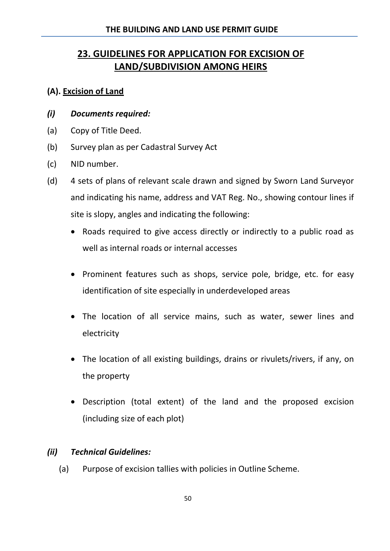### **23. GUIDELINES FOR APPLICATION FOR EXCISION OF LAND/SUBDIVISION AMONG HEIRS**

### **(A). Excision of Land**

- *(i) Documents required:*
- (a) Copy of Title Deed.
- (b) Survey plan as per Cadastral Survey Act
- (c) NID number.
- (d) 4 sets of plans of relevant scale drawn and signed by Sworn Land Surveyor and indicating his name, address and VAT Reg. No., showing contour lines if site is slopy, angles and indicating the following:
	- Roads required to give access directly or indirectly to a public road as well as internal roads or internal accesses
	- Prominent features such as shops, service pole, bridge, etc. for easy identification of site especially in underdeveloped areas
	- The location of all service mains, such as water, sewer lines and electricity
	- The location of all existing buildings, drains or rivulets/rivers, if any, on the property
	- Description (total extent) of the land and the proposed excision (including size of each plot)

### *(ii) Technical Guidelines:*

(a) Purpose of excision tallies with policies in Outline Scheme.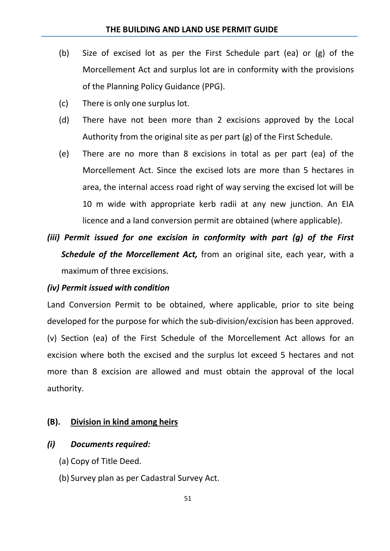- (b) Size of excised lot as per the First Schedule part (ea) or (g) of the Morcellement Act and surplus lot are in conformity with the provisions of the Planning Policy Guidance (PPG).
- (c) There is only one surplus lot.
- (d) There have not been more than 2 excisions approved by the Local Authority from the original site as per part (g) of the First Schedule.
- (e) There are no more than 8 excisions in total as per part (ea) of the Morcellement Act. Since the excised lots are more than 5 hectares in area, the internal access road right of way serving the excised lot will be 10 m wide with appropriate kerb radii at any new junction. An EIA licence and a land conversion permit are obtained (where applicable).
- *(iii) Permit issued for one excision in conformity with part (g) of the First Schedule of the Morcellement Act,* from an original site, each year, with a maximum of three excisions.

#### *(iv) Permit issued with condition*

Land Conversion Permit to be obtained, where applicable, prior to site being developed for the purpose for which the sub-division/excision has been approved. (v) Section (ea) of the First Schedule of the Morcellement Act allows for an excision where both the excised and the surplus lot exceed 5 hectares and not more than 8 excision are allowed and must obtain the approval of the local authority.

#### **(B). Division in kind among heirs**

#### *(i) Documents required:*

- (a) Copy of Title Deed.
- (b) Survey plan as per Cadastral Survey Act.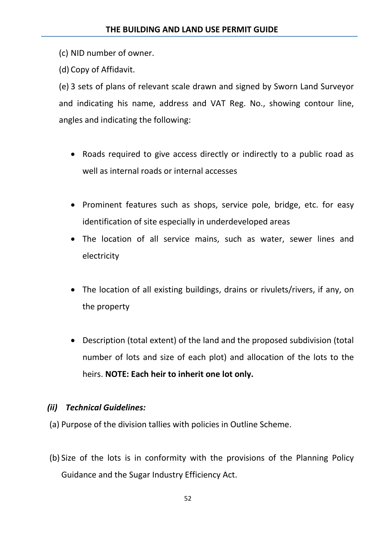(c) NID number of owner.

(d) Copy of Affidavit.

(e) 3 sets of plans of relevant scale drawn and signed by Sworn Land Surveyor and indicating his name, address and VAT Reg. No., showing contour line, angles and indicating the following:

- Roads required to give access directly or indirectly to a public road as well as internal roads or internal accesses
- Prominent features such as shops, service pole, bridge, etc. for easy identification of site especially in underdeveloped areas
- The location of all service mains, such as water, sewer lines and electricity
- The location of all existing buildings, drains or rivulets/rivers, if any, on the property
- Description (total extent) of the land and the proposed subdivision (total number of lots and size of each plot) and allocation of the lots to the heirs. **NOTE: Each heir to inherit one lot only.**

### *(ii) Technical Guidelines:*

- (a) Purpose of the division tallies with policies in Outline Scheme.
- (b) Size of the lots is in conformity with the provisions of the Planning Policy Guidance and the Sugar Industry Efficiency Act.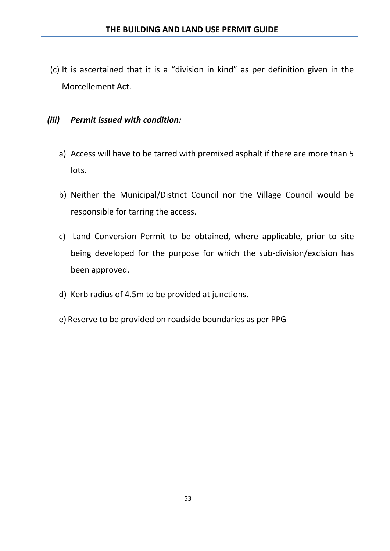(c) It is ascertained that it is a "division in kind" as per definition given in the Morcellement Act.

### *(iii) Permit issued with condition:*

- a) Access will have to be tarred with premixed asphalt if there are more than 5 lots.
- b) Neither the Municipal/District Council nor the Village Council would be responsible for tarring the access.
- c) Land Conversion Permit to be obtained, where applicable, prior to site being developed for the purpose for which the sub-division/excision has been approved.
- d) Kerb radius of 4.5m to be provided at junctions.
- e) Reserve to be provided on roadside boundaries as per PPG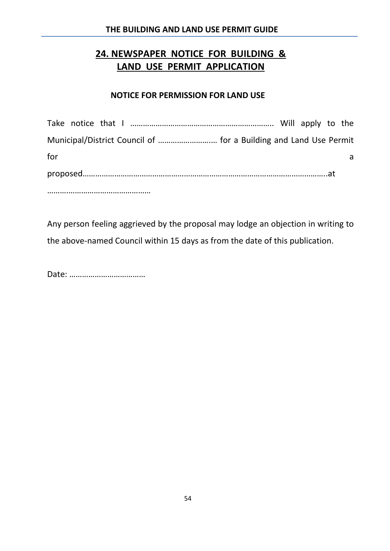### **24. NEWSPAPER NOTICE FOR BUILDING & LAND USE PERMIT APPLICATION**

#### **NOTICE FOR PERMISSION FOR LAND USE**

| Municipal/District Council of  for a Building and Land Use Permit |  |  |
|-------------------------------------------------------------------|--|--|
| for                                                               |  |  |
|                                                                   |  |  |
|                                                                   |  |  |

Any person feeling aggrieved by the proposal may lodge an objection in writing to the above-named Council within 15 days as from the date of this publication.

Date: ………………………………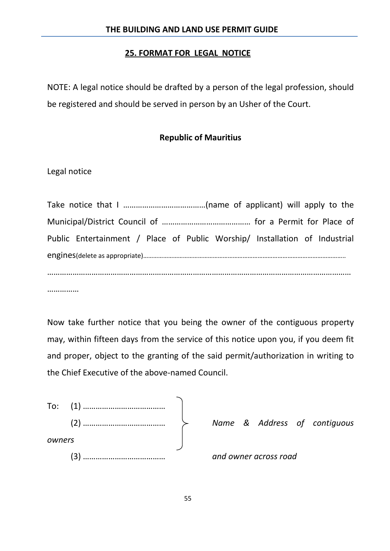#### **25. FORMAT FOR LEGAL NOTICE**

NOTE: A legal notice should be drafted by a person of the legal profession, should be registered and should be served in person by an Usher of the Court.

### **Republic of Mauritius**

Legal notice

| Public Entertainment / Place of Public Worship/ Installation of Industrial |
|----------------------------------------------------------------------------|
|                                                                            |
|                                                                            |
|                                                                            |

……………

Now take further notice that you being the owner of the contiguous property may, within fifteen days from the service of this notice upon you, if you deem fit and proper, object to the granting of the said permit/authorization in writing to the Chief Executive of the above-named Council.

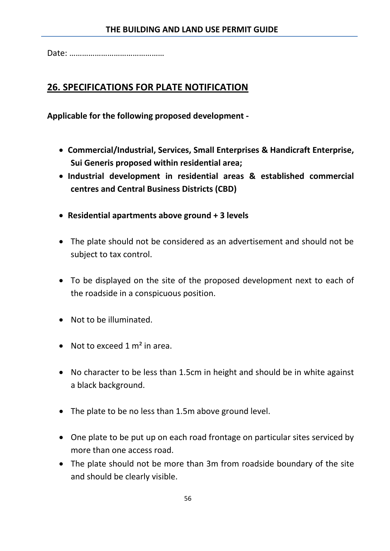Date: ………………………………………

### **26. SPECIFICATIONS FOR PLATE NOTIFICATION**

**Applicable for the following proposed development -**

- **Commercial/Industrial, Services, Small Enterprises & Handicraft Enterprise, Sui Generis proposed within residential area;**
- **Industrial development in residential areas & established commercial centres and Central Business Districts (CBD)**
- **Residential apartments above ground + 3 levels**
- The plate should not be considered as an advertisement and should not be subject to tax control.
- To be displayed on the site of the proposed development next to each of the roadside in a conspicuous position.
- Not to be illuminated.
- Not to exceed  $1 \text{ m}^2$  in area.
- No character to be less than 1.5cm in height and should be in white against a black background.
- The plate to be no less than 1.5m above ground level.
- One plate to be put up on each road frontage on particular sites serviced by more than one access road.
- The plate should not be more than 3m from roadside boundary of the site and should be clearly visible.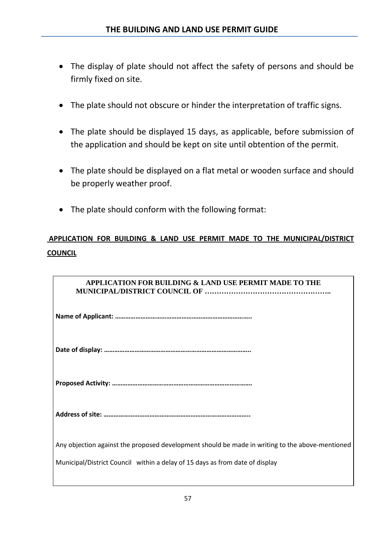- The display of plate should not affect the safety of persons and should be firmly fixed on site.
- The plate should not obscure or hinder the interpretation of traffic signs.
- The plate should be displayed 15 days, as applicable, before submission of the application and should be kept on site until obtention of the permit.
- The plate should be displayed on a flat metal or wooden surface and should be properly weather proof.
- The plate should conform with the following format:

### **APPLICATION FOR BUILDING & LAND USE PERMIT MADE TO THE MUNICIPAL/DISTRICT COUNCIL**

| <b>APPLICATION FOR BUILDING &amp; LAND USE PERMIT MADE TO THE</b>                               |
|-------------------------------------------------------------------------------------------------|
|                                                                                                 |
|                                                                                                 |
|                                                                                                 |
|                                                                                                 |
| Any objection against the proposed development should be made in writing to the above-mentioned |
| Municipal/District Council within a delay of 15 days as from date of display                    |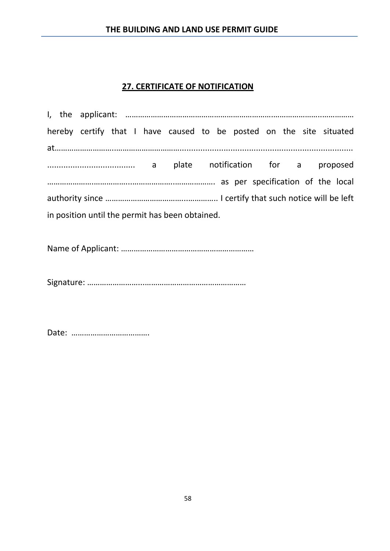#### **THE BUILDING AND LAND USE PERMIT GUIDE**

### **27. CERTIFICATE OF NOTIFICATION**

|  |  |  |                                                 |  | hereby certify that I have caused to be posted on the site situated |  |  |  |
|--|--|--|-------------------------------------------------|--|---------------------------------------------------------------------|--|--|--|
|  |  |  |                                                 |  |                                                                     |  |  |  |
|  |  |  |                                                 |  |                                                                     |  |  |  |
|  |  |  |                                                 |  |                                                                     |  |  |  |
|  |  |  |                                                 |  |                                                                     |  |  |  |
|  |  |  | in position until the permit has been obtained. |  |                                                                     |  |  |  |

Name of Applicant: ………………………………………………………

Signature: ……………………...…………………………………………

Date: ……………………………….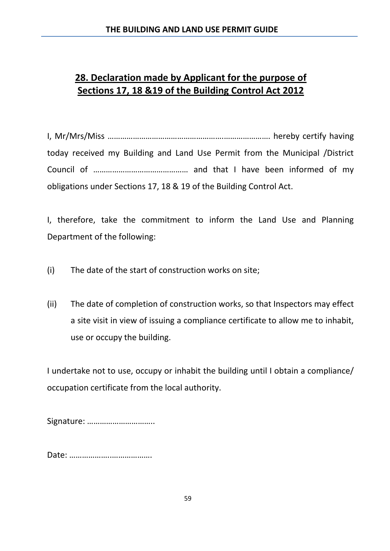### **28. Declaration made by Applicant for the purpose of Sections 17, 18 &19 of the Building Control Act 2012**

I, Mr/Mrs/Miss ……………………………………………….…………………. hereby certify having today received my Building and Land Use Permit from the Municipal /District Council of ……………………………………… and that I have been informed of my obligations under Sections 17, 18 & 19 of the Building Control Act.

I, therefore, take the commitment to inform the Land Use and Planning Department of the following:

- (i) The date of the start of construction works on site;
- (ii) The date of completion of construction works, so that Inspectors may effect a site visit in view of issuing a compliance certificate to allow me to inhabit, use or occupy the building.

I undertake not to use, occupy or inhabit the building until I obtain a compliance/ occupation certificate from the local authority.

Signature: …………………………..

Date: ………………..……………….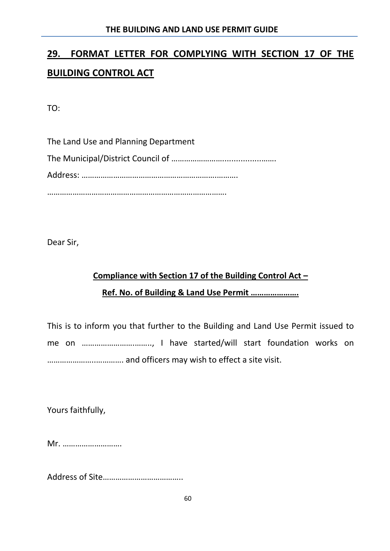# **29. FORMAT LETTER FOR COMPLYING WITH SECTION 17 OF THE BUILDING CONTROL ACT**

TO:

The Land Use and Planning Department The Municipal/District Council of …………………….................……. Address: ……………………………………………………….………. ………………………………………………………………………….

Dear Sir,

# **Compliance with Section 17 of the Building Control Act – Ref. No. of Building & Land Use Permit ………………….**

This is to inform you that further to the Building and Land Use Permit issued to me on …………………….…….., I have started/will start foundation works on …………………..…………. and officers may wish to effect a site visit.

Yours faithfully,

Mr. ……………………….

Address of Site………………………………..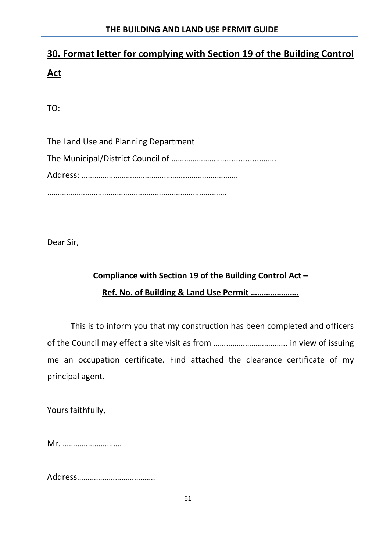# **30. Format letter for complying with Section 19 of the Building Control Act**

TO:

The Land Use and Planning Department The Municipal/District Council of …………………….................……. Address: ………………………………………….……………………. ………………………………………………………………………….

Dear Sir,

# **Compliance with Section 19 of the Building Control Act – Ref. No. of Building & Land Use Permit ………………….**

This is to inform you that my construction has been completed and officers of the Council may effect a site visit as from …………………………….. in view of issuing me an occupation certificate. Find attached the clearance certificate of my principal agent.

Yours faithfully,

Mr. ……………………….

Address……………………………….